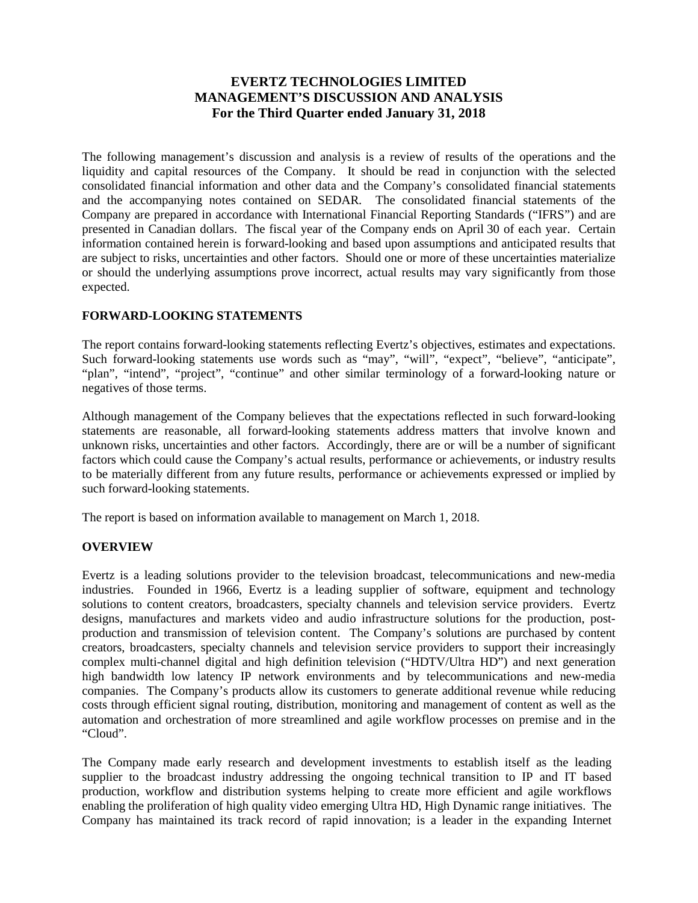# **EVERTZ TECHNOLOGIES LIMITED MANAGEMENT'S DISCUSSION AND ANALYSIS For the Third Quarter ended January 31, 2018**

The following management's discussion and analysis is a review of results of the operations and the liquidity and capital resources of the Company. It should be read in conjunction with the selected consolidated financial information and other data and the Company's consolidated financial statements and the accompanying notes contained on SEDAR. The consolidated financial statements of the Company are prepared in accordance with International Financial Reporting Standards ("IFRS") and are presented in Canadian dollars. The fiscal year of the Company ends on April 30 of each year. Certain information contained herein is forward-looking and based upon assumptions and anticipated results that are subject to risks, uncertainties and other factors. Should one or more of these uncertainties materialize or should the underlying assumptions prove incorrect, actual results may vary significantly from those expected.

## **FORWARD-LOOKING STATEMENTS**

The report contains forward-looking statements reflecting Evertz's objectives, estimates and expectations. Such forward-looking statements use words such as "may", "will", "expect", "believe", "anticipate", "plan", "intend", "project", "continue" and other similar terminology of a forward-looking nature or negatives of those terms.

Although management of the Company believes that the expectations reflected in such forward-looking statements are reasonable, all forward-looking statements address matters that involve known and unknown risks, uncertainties and other factors. Accordingly, there are or will be a number of significant factors which could cause the Company's actual results, performance or achievements, or industry results to be materially different from any future results, performance or achievements expressed or implied by such forward-looking statements.

The report is based on information available to management on March 1, 2018.

## **OVERVIEW**

Evertz is a leading solutions provider to the television broadcast, telecommunications and new-media industries. Founded in 1966, Evertz is a leading supplier of software, equipment and technology solutions to content creators, broadcasters, specialty channels and television service providers. Evertz designs, manufactures and markets video and audio infrastructure solutions for the production, postproduction and transmission of television content. The Company's solutions are purchased by content creators, broadcasters, specialty channels and television service providers to support their increasingly complex multi-channel digital and high definition television ("HDTV/Ultra HD") and next generation high bandwidth low latency IP network environments and by telecommunications and new-media companies. The Company's products allow its customers to generate additional revenue while reducing costs through efficient signal routing, distribution, monitoring and management of content as well as the automation and orchestration of more streamlined and agile workflow processes on premise and in the "Cloud".

The Company made early research and development investments to establish itself as the leading supplier to the broadcast industry addressing the ongoing technical transition to IP and IT based production, workflow and distribution systems helping to create more efficient and agile workflows enabling the proliferation of high quality video emerging Ultra HD, High Dynamic range initiatives. The Company has maintained its track record of rapid innovation; is a leader in the expanding Internet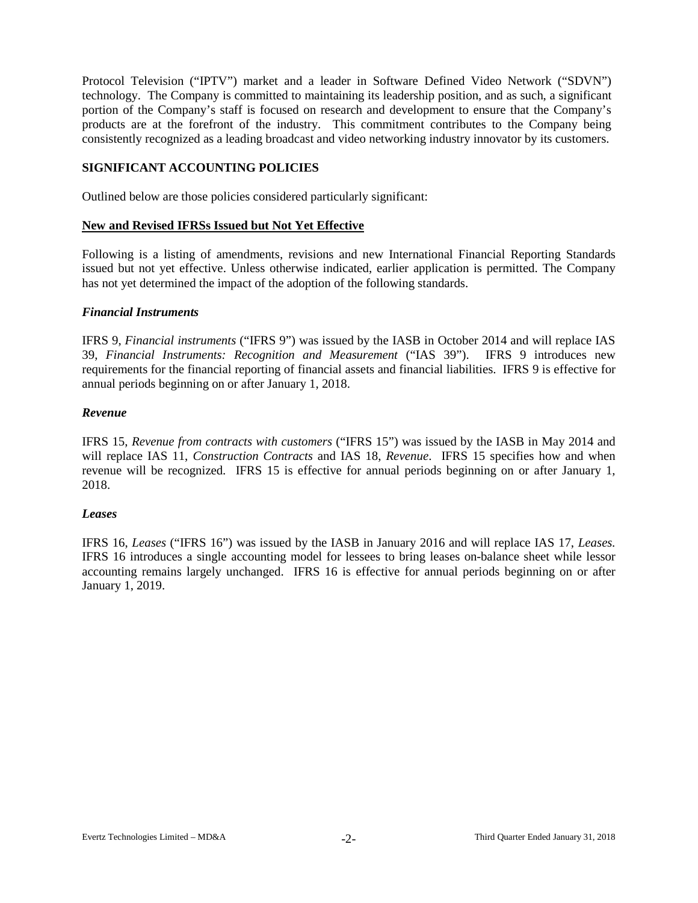Protocol Television ("IPTV") market and a leader in Software Defined Video Network ("SDVN") technology. The Company is committed to maintaining its leadership position, and as such, a significant portion of the Company's staff is focused on research and development to ensure that the Company's products are at the forefront of the industry. This commitment contributes to the Company being consistently recognized as a leading broadcast and video networking industry innovator by its customers.

## **SIGNIFICANT ACCOUNTING POLICIES**

Outlined below are those policies considered particularly significant:

#### **New and Revised IFRSs Issued but Not Yet Effective**

Following is a listing of amendments, revisions and new International Financial Reporting Standards issued but not yet effective. Unless otherwise indicated, earlier application is permitted. The Company has not yet determined the impact of the adoption of the following standards.

#### *Financial Instruments*

IFRS 9, *Financial instruments* ("IFRS 9") was issued by the IASB in October 2014 and will replace IAS 39, *Financial Instruments: Recognition and Measurement* ("IAS 39"). IFRS 9 introduces new requirements for the financial reporting of financial assets and financial liabilities. IFRS 9 is effective for annual periods beginning on or after January 1, 2018.

#### *Revenue*

IFRS 15, *Revenue from contracts with customers* ("IFRS 15") was issued by the IASB in May 2014 and will replace IAS 11, *Construction Contracts* and IAS 18, *Revenue*. IFRS 15 specifies how and when revenue will be recognized. IFRS 15 is effective for annual periods beginning on or after January 1, 2018.

## *Leases*

IFRS 16, *Leases* ("IFRS 16") was issued by the IASB in January 2016 and will replace IAS 17, *Leases.* IFRS 16 introduces a single accounting model for lessees to bring leases on-balance sheet while lessor accounting remains largely unchanged. IFRS 16 is effective for annual periods beginning on or after January 1, 2019.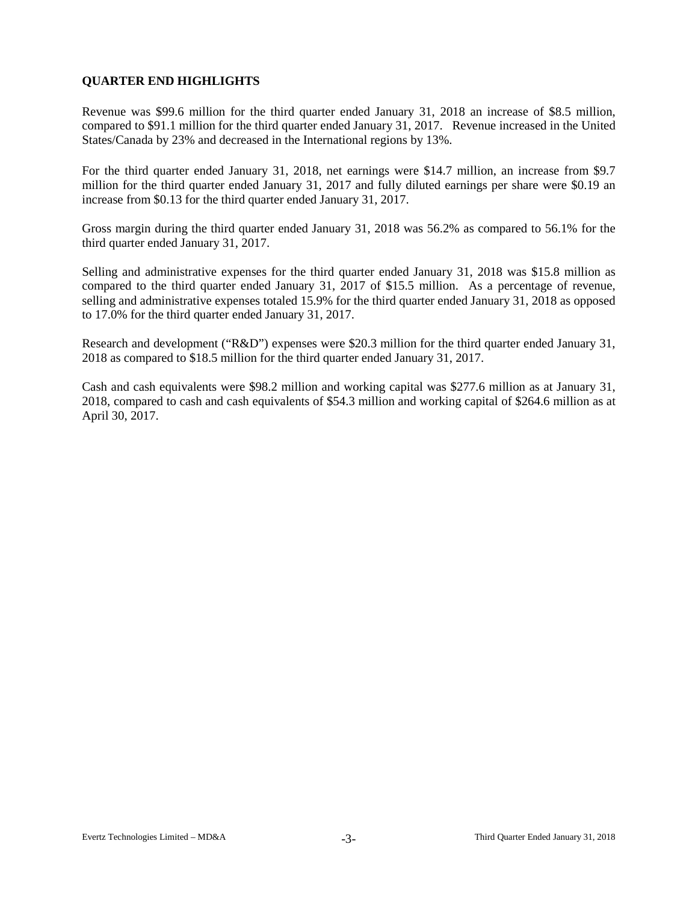# **QUARTER END HIGHLIGHTS**

Revenue was \$99.6 million for the third quarter ended January 31, 2018 an increase of \$8.5 million, compared to \$91.1 million for the third quarter ended January 31, 2017. Revenue increased in the United States/Canada by 23% and decreased in the International regions by 13%.

For the third quarter ended January 31, 2018, net earnings were \$14.7 million, an increase from \$9.7 million for the third quarter ended January 31, 2017 and fully diluted earnings per share were \$0.19 an increase from \$0.13 for the third quarter ended January 31, 2017.

Gross margin during the third quarter ended January 31, 2018 was 56.2% as compared to 56.1% for the third quarter ended January 31, 2017.

Selling and administrative expenses for the third quarter ended January 31, 2018 was \$15.8 million as compared to the third quarter ended January 31, 2017 of \$15.5 million. As a percentage of revenue, selling and administrative expenses totaled 15.9% for the third quarter ended January 31, 2018 as opposed to 17.0% for the third quarter ended January 31, 2017.

Research and development ("R&D") expenses were \$20.3 million for the third quarter ended January 31, 2018 as compared to \$18.5 million for the third quarter ended January 31, 2017.

Cash and cash equivalents were \$98.2 million and working capital was \$277.6 million as at January 31, 2018, compared to cash and cash equivalents of \$54.3 million and working capital of \$264.6 million as at April 30, 2017.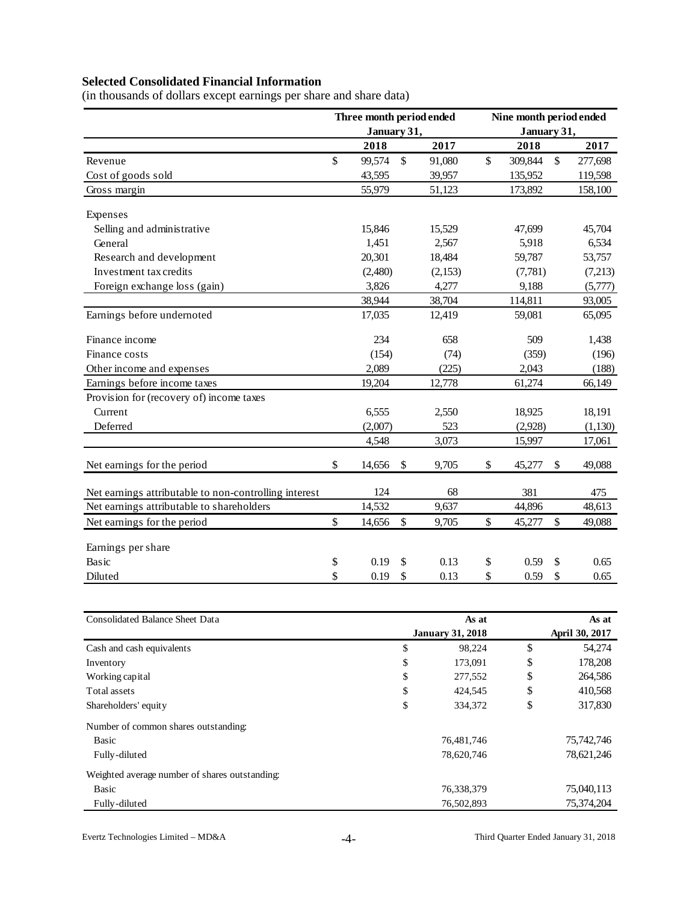# **Selected Consolidated Financial Information**

(in thousands of dollars except earnings per share and share data)

|                                                       | Three month period ended |               |         | Nine month period ended<br>January 31, |         |    |         |  |  |  |
|-------------------------------------------------------|--------------------------|---------------|---------|----------------------------------------|---------|----|---------|--|--|--|
|                                                       | January 31,              |               |         |                                        |         |    |         |  |  |  |
|                                                       | 2018                     |               | 2017    |                                        | 2018    |    | 2017    |  |  |  |
| Revenue                                               | \$<br>99,574             | $\mathsf{\$}$ | 91,080  | $\mathcal{S}$                          | 309,844 | \$ | 277,698 |  |  |  |
| Cost of goods sold                                    | 43,595                   |               | 39,957  |                                        | 135,952 |    | 119,598 |  |  |  |
| Gross margin                                          | 55,979                   |               | 51,123  |                                        | 173,892 |    | 158,100 |  |  |  |
| Expenses                                              |                          |               |         |                                        |         |    |         |  |  |  |
| Selling and administrative                            | 15,846                   |               | 15,529  |                                        | 47,699  |    | 45,704  |  |  |  |
| General                                               | 1,451                    |               | 2,567   |                                        | 5,918   |    | 6,534   |  |  |  |
| Research and development                              | 20,301                   |               | 18,484  |                                        | 59,787  |    | 53,757  |  |  |  |
| Investment tax credits                                | (2,480)                  |               | (2,153) |                                        | (7,781) |    | (7,213) |  |  |  |
| Foreign exchange loss (gain)                          | 3,826                    |               | 4,277   |                                        | 9,188   |    | (5,777) |  |  |  |
|                                                       | 38,944                   |               | 38,704  |                                        | 114,811 |    | 93,005  |  |  |  |
| Earnings before undernoted                            | 17,035                   |               | 12,419  |                                        | 59,081  |    | 65,095  |  |  |  |
| Finance income                                        | 234                      |               | 658     |                                        | 509     |    | 1,438   |  |  |  |
| Finance costs                                         | (154)                    |               | (74)    |                                        | (359)   |    | (196)   |  |  |  |
| Other income and expenses                             | 2,089                    |               | (225)   |                                        | 2,043   |    | (188)   |  |  |  |
| Earnings before income taxes                          | 19,204                   |               | 12,778  |                                        | 61,274  |    | 66,149  |  |  |  |
| Provision for (recovery of) income taxes              |                          |               |         |                                        |         |    |         |  |  |  |
| Current                                               | 6,555                    |               | 2,550   |                                        | 18,925  |    | 18,191  |  |  |  |
| Deferred                                              | (2,007)                  |               | 523     |                                        | (2,928) |    | (1,130) |  |  |  |
|                                                       | 4,548                    |               | 3,073   |                                        | 15,997  |    | 17,061  |  |  |  |
| Net earnings for the period                           | \$<br>14,656             | \$            | 9,705   | \$                                     | 45,277  | \$ | 49,088  |  |  |  |
| Net earnings attributable to non-controlling interest | 124                      |               | 68      |                                        | 381     |    | 475     |  |  |  |
| Net earnings attributable to shareholders             | 14,532                   |               | 9,637   |                                        | 44,896  |    | 48,613  |  |  |  |
| Net earnings for the period                           | \$<br>14,656             | \$            | 9,705   | \$                                     | 45,277  | \$ | 49,088  |  |  |  |
| Earnings per share                                    |                          |               |         |                                        |         |    |         |  |  |  |
| Basic                                                 | \$<br>0.19               | \$            | 0.13    | \$                                     | 0.59    | \$ | 0.65    |  |  |  |
| Diluted                                               | \$<br>0.19               | \$            | 0.13    | \$                                     | 0.59    | \$ | 0.65    |  |  |  |

| <b>Consolidated Balance Sheet Data</b>         | As at                   | As at |                |  |  |
|------------------------------------------------|-------------------------|-------|----------------|--|--|
|                                                | <b>January 31, 2018</b> |       | April 30, 2017 |  |  |
| Cash and cash equivalents                      | \$<br>98,224            | \$    | 54,274         |  |  |
| Inventory                                      | \$<br>173,091           | \$    | 178,208        |  |  |
| Working capital                                | \$<br>277,552           | \$    | 264,586        |  |  |
| Total assets                                   | \$<br>424,545           | \$    | 410,568        |  |  |
| Shareholders' equity                           | \$<br>334,372           | \$    | 317,830        |  |  |
| Number of common shares outstanding:           |                         |       |                |  |  |
| Basic                                          | 76,481,746              |       | 75,742,746     |  |  |
| Fully-diluted                                  | 78,620,746              |       | 78,621,246     |  |  |
| Weighted average number of shares outstanding: |                         |       |                |  |  |
| Basic                                          | 76,338,379              |       | 75,040,113     |  |  |
| Fully-diluted                                  | 76,502,893              |       | 75,374,204     |  |  |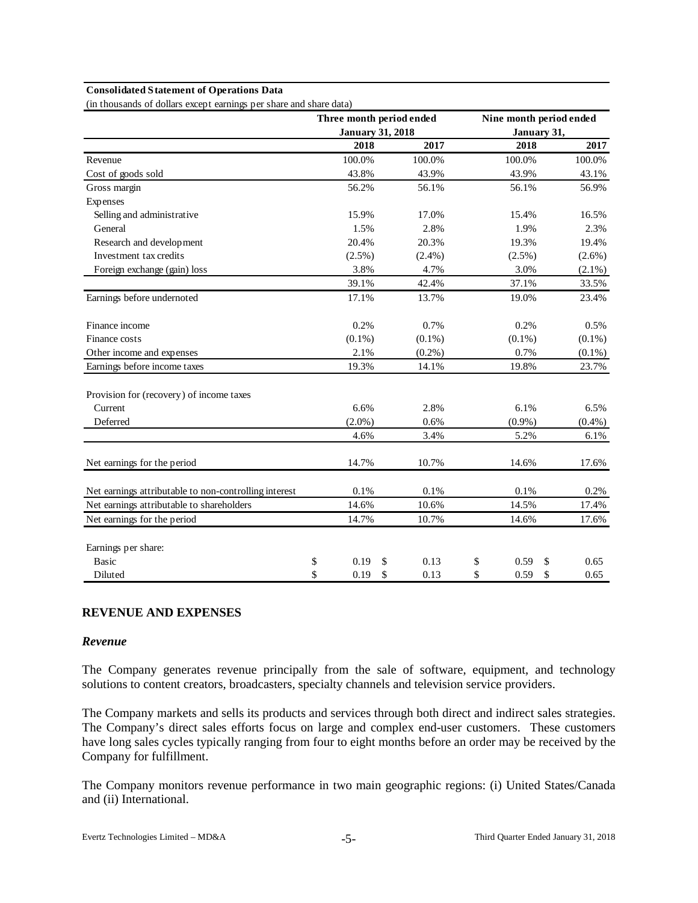# **Consolidated Statement of Operations Data**

|                                                       | Three month period ended |            | Nine month period ended |            |  |
|-------------------------------------------------------|--------------------------|------------|-------------------------|------------|--|
|                                                       | <b>January 31, 2018</b>  |            | January 31,             |            |  |
|                                                       | 2018                     | 2017       | 2018                    | 2017       |  |
| Revenue                                               | 100.0%                   | 100.0%     | 100.0%                  | 100.0%     |  |
| Cost of goods sold                                    | 43.8%                    | 43.9%      | 43.9%                   | 43.1%      |  |
| Gross margin                                          | 56.2%                    | 56.1%      | 56.1%                   | 56.9%      |  |
| Expenses                                              |                          |            |                         |            |  |
| Selling and administrative                            | 15.9%                    | 17.0%      | 15.4%                   | 16.5%      |  |
| General                                               | 1.5%                     | 2.8%       | 1.9%                    | 2.3%       |  |
| Research and development                              | 20.4%                    | 20.3%      | 19.3%                   | 19.4%      |  |
| Investment tax credits                                | $(2.5\%)$                | $(2.4\%)$  | $(2.5\%)$               | $(2.6\%)$  |  |
| Foreign exchange (gain) loss                          | 3.8%                     | 4.7%       | 3.0%                    | $(2.1\%)$  |  |
|                                                       | 39.1%                    | 42.4%      | 37.1%                   | 33.5%      |  |
| Earnings before undernoted                            | 17.1%                    | 13.7%      | 19.0%                   | 23.4%      |  |
| Finance income                                        | 0.2%                     | 0.7%       | 0.2%                    | 0.5%       |  |
| Finance costs                                         | $(0.1\%)$                | $(0.1\%)$  | $(0.1\%)$               | $(0.1\%)$  |  |
| Other income and expenses                             | 2.1%                     | $(0.2\%)$  | 0.7%                    | $(0.1\%)$  |  |
| Earnings before income taxes                          | 19.3%                    | 14.1%      | 19.8%                   | 23.7%      |  |
| Provision for (recovery) of income taxes              |                          |            |                         |            |  |
| Current                                               | 6.6%                     | 2.8%       | 6.1%                    | 6.5%       |  |
| Deferred                                              | $(2.0\%)$                | 0.6%       | $(0.9\%)$               | $(0.4\%)$  |  |
|                                                       | 4.6%                     | 3.4%       | 5.2%                    | 6.1%       |  |
| Net earnings for the period                           | 14.7%                    | 10.7%      | 14.6%                   | 17.6%      |  |
| Net earnings attributable to non-controlling interest | 0.1%                     | 0.1%       | 0.1%                    | 0.2%       |  |
| Net earnings attributable to shareholders             | 14.6%                    | 10.6%      | 14.5%                   | 17.4%      |  |
| Net earnings for the period                           | 14.7%                    | 10.7%      | 14.6%                   | 17.6%      |  |
| Earnings per share:                                   |                          |            |                         |            |  |
| <b>Basic</b>                                          | \$<br>0.19               | \$<br>0.13 | \$<br>0.59              | \$<br>0.65 |  |
| Diluted                                               | \$<br>0.19               | \$<br>0.13 | \$<br>0.59              | \$<br>0.65 |  |

(in thousands of dollars except earnings per share and share data)

## **REVENUE AND EXPENSES**

#### *Revenue*

The Company generates revenue principally from the sale of software, equipment, and technology solutions to content creators, broadcasters, specialty channels and television service providers.

The Company markets and sells its products and services through both direct and indirect sales strategies. The Company's direct sales efforts focus on large and complex end-user customers. These customers have long sales cycles typically ranging from four to eight months before an order may be received by the Company for fulfillment.

The Company monitors revenue performance in two main geographic regions: (i) United States/Canada and (ii) International.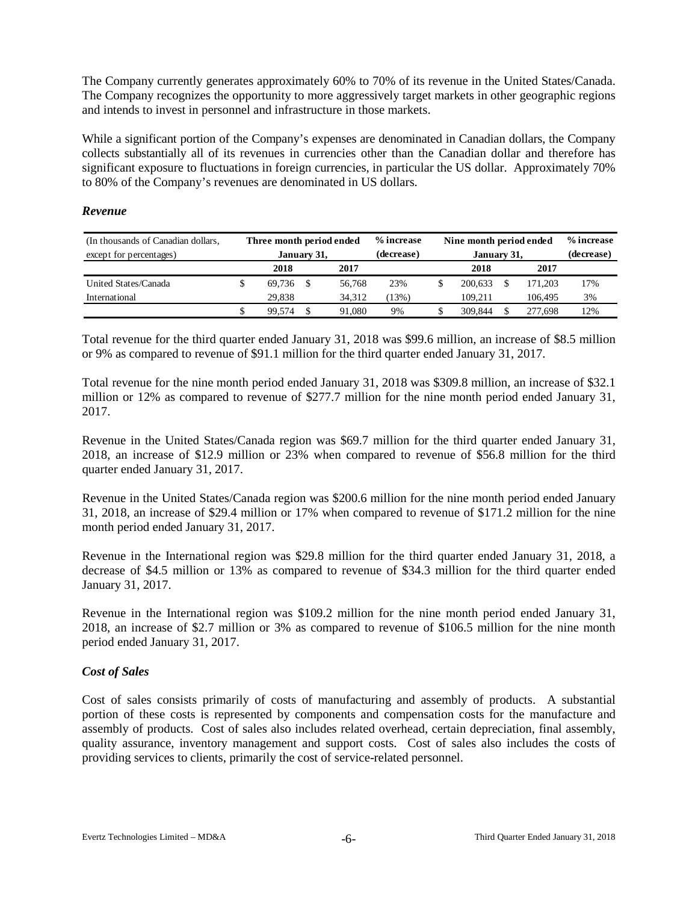The Company currently generates approximately 60% to 70% of its revenue in the United States/Canada. The Company recognizes the opportunity to more aggressively target markets in other geographic regions and intends to invest in personnel and infrastructure in those markets.

While a significant portion of the Company's expenses are denominated in Canadian dollars, the Company collects substantially all of its revenues in currencies other than the Canadian dollar and therefore has significant exposure to fluctuations in foreign currencies, in particular the US dollar. Approximately 70% to 80% of the Company's revenues are denominated in US dollars.

#### *Revenue*

| (In thousands of Canadian dollars, | Three month period ended |              |  |        | % increase | Nine month period ended |            | % increase |     |
|------------------------------------|--------------------------|--------------|--|--------|------------|-------------------------|------------|------------|-----|
| except for percentages)            |                          | January 31,  |  |        | (decrease) | January 31,             | (decrease) |            |     |
|                                    |                          | 2018<br>2017 |  |        |            | 2018                    |            | 2017       |     |
| United States/Canada               |                          | 69.736       |  | 56,768 | 23%        | 200.633                 |            | 171.203    | 17% |
| International                      |                          | 29.838       |  | 34.312 | 13%)       | 109.211                 |            | 106.495    | 3%  |
|                                    |                          | 99.574       |  | 91,080 | 9%         | 309,844                 |            | 277.698    | 12% |

Total revenue for the third quarter ended January 31, 2018 was \$99.6 million, an increase of \$8.5 million or 9% as compared to revenue of \$91.1 million for the third quarter ended January 31, 2017.

Total revenue for the nine month period ended January 31, 2018 was \$309.8 million, an increase of \$32.1 million or 12% as compared to revenue of \$277.7 million for the nine month period ended January 31, 2017.

Revenue in the United States/Canada region was \$69.7 million for the third quarter ended January 31, 2018, an increase of \$12.9 million or 23% when compared to revenue of \$56.8 million for the third quarter ended January 31, 2017.

Revenue in the United States/Canada region was \$200.6 million for the nine month period ended January 31, 2018, an increase of \$29.4 million or 17% when compared to revenue of \$171.2 million for the nine month period ended January 31, 2017.

Revenue in the International region was \$29.8 million for the third quarter ended January 31, 2018, a decrease of \$4.5 million or 13% as compared to revenue of \$34.3 million for the third quarter ended January 31, 2017.

Revenue in the International region was \$109.2 million for the nine month period ended January 31, 2018, an increase of \$2.7 million or 3% as compared to revenue of \$106.5 million for the nine month period ended January 31, 2017.

## *Cost of Sales*

Cost of sales consists primarily of costs of manufacturing and assembly of products. A substantial portion of these costs is represented by components and compensation costs for the manufacture and assembly of products. Cost of sales also includes related overhead, certain depreciation, final assembly, quality assurance, inventory management and support costs. Cost of sales also includes the costs of providing services to clients, primarily the cost of service-related personnel.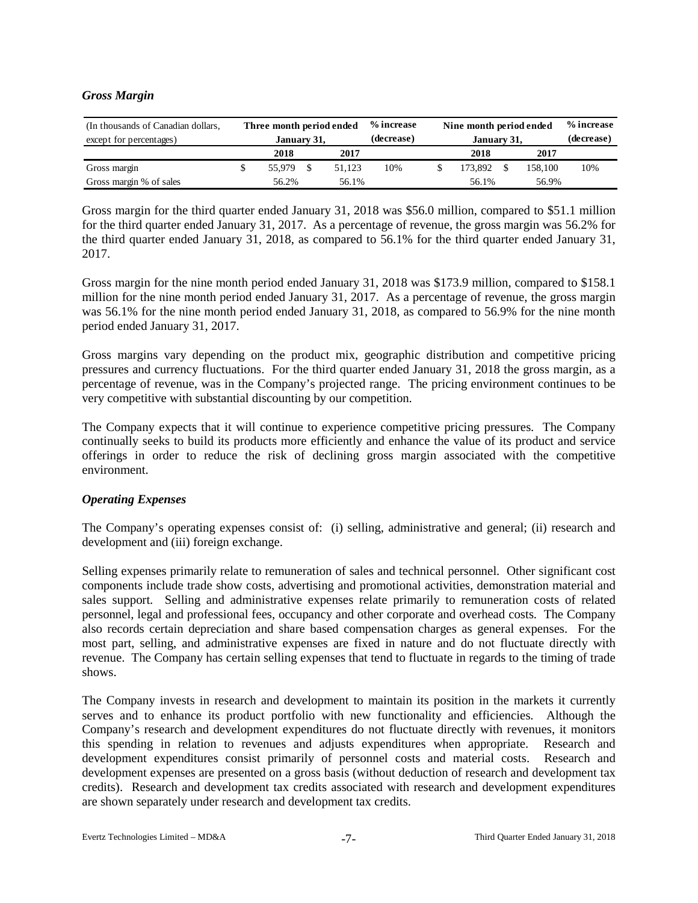## *Gross Margin*

| (In thousands of Canadian dollars,<br>except for percentages) | Three month period ended<br>January 31, |        | % increase<br>(decrease) | Nine month period ended<br>January 31, | % increase<br>(decrease) |     |
|---------------------------------------------------------------|-----------------------------------------|--------|--------------------------|----------------------------------------|--------------------------|-----|
|                                                               | 2018                                    | 2017   |                          | 2018                                   | 2017                     |     |
| Gross margin                                                  | 55.979                                  | 51.123 | 10%                      | 173,892                                | 158.100                  | 10% |
| Gross margin % of sales                                       | 56.2%                                   | 56.1%  |                          | 56.1%                                  | 56.9%                    |     |

Gross margin for the third quarter ended January 31, 2018 was \$56.0 million, compared to \$51.1 million for the third quarter ended January 31, 2017. As a percentage of revenue, the gross margin was 56.2% for the third quarter ended January 31, 2018, as compared to 56.1% for the third quarter ended January 31, 2017.

Gross margin for the nine month period ended January 31, 2018 was \$173.9 million, compared to \$158.1 million for the nine month period ended January 31, 2017. As a percentage of revenue, the gross margin was 56.1% for the nine month period ended January 31, 2018, as compared to 56.9% for the nine month period ended January 31, 2017.

Gross margins vary depending on the product mix, geographic distribution and competitive pricing pressures and currency fluctuations. For the third quarter ended January 31, 2018 the gross margin, as a percentage of revenue, was in the Company's projected range. The pricing environment continues to be very competitive with substantial discounting by our competition.

The Company expects that it will continue to experience competitive pricing pressures. The Company continually seeks to build its products more efficiently and enhance the value of its product and service offerings in order to reduce the risk of declining gross margin associated with the competitive environment.

## *Operating Expenses*

The Company's operating expenses consist of: (i) selling, administrative and general; (ii) research and development and (iii) foreign exchange.

Selling expenses primarily relate to remuneration of sales and technical personnel. Other significant cost components include trade show costs, advertising and promotional activities, demonstration material and sales support. Selling and administrative expenses relate primarily to remuneration costs of related personnel, legal and professional fees, occupancy and other corporate and overhead costs. The Company also records certain depreciation and share based compensation charges as general expenses. For the most part, selling, and administrative expenses are fixed in nature and do not fluctuate directly with revenue. The Company has certain selling expenses that tend to fluctuate in regards to the timing of trade shows.

The Company invests in research and development to maintain its position in the markets it currently serves and to enhance its product portfolio with new functionality and efficiencies. Although the Company's research and development expenditures do not fluctuate directly with revenues, it monitors this spending in relation to revenues and adjusts expenditures when appropriate. Research and development expenditures consist primarily of personnel costs and material costs. Research and development expenses are presented on a gross basis (without deduction of research and development tax credits). Research and development tax credits associated with research and development expenditures are shown separately under research and development tax credits.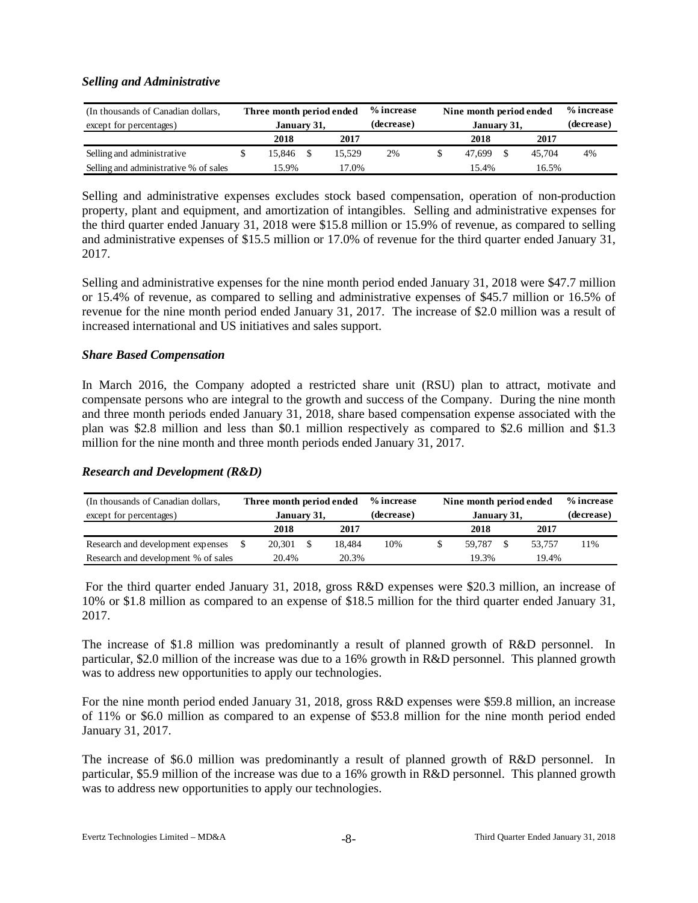## *Selling and Administrative*

| (In thousands of Canadian dollars,<br>except for percentages) | Three month period ended<br>January 31, |        | % increase<br>(decrease) | Nine month period ended<br>January 31, | % increase<br>(decrease) |    |
|---------------------------------------------------------------|-----------------------------------------|--------|--------------------------|----------------------------------------|--------------------------|----|
|                                                               | 2018                                    | 2017   |                          | 2018                                   | 2017                     |    |
| Selling and administrative                                    | 15.846                                  | 15.529 | 2%                       | 47.699                                 | 45.704                   | 4% |
| Selling and administrative % of sales                         | 15.9%                                   | 17.0%  |                          | 15.4%                                  | 16.5%                    |    |

Selling and administrative expenses excludes stock based compensation, operation of non-production property, plant and equipment, and amortization of intangibles. Selling and administrative expenses for the third quarter ended January 31, 2018 were \$15.8 million or 15.9% of revenue, as compared to selling and administrative expenses of \$15.5 million or 17.0% of revenue for the third quarter ended January 31, 2017.

Selling and administrative expenses for the nine month period ended January 31, 2018 were \$47.7 million or 15.4% of revenue, as compared to selling and administrative expenses of \$45.7 million or 16.5% of revenue for the nine month period ended January 31, 2017. The increase of \$2.0 million was a result of increased international and US initiatives and sales support.

## *Share Based Compensation*

In March 2016, the Company adopted a restricted share unit (RSU) plan to attract, motivate and compensate persons who are integral to the growth and success of the Company. During the nine month and three month periods ended January 31, 2018, share based compensation expense associated with the plan was \$2.8 million and less than \$0.1 million respectively as compared to \$2.6 million and \$1.3 million for the nine month and three month periods ended January 31, 2017.

## *Research and Development (R&D)*

| (In thousands of Canadian dollars,  |       | Three month period ended |  |        | % increase | Nine month period ended |       | % increase |     |
|-------------------------------------|-------|--------------------------|--|--------|------------|-------------------------|-------|------------|-----|
| except for percentages)             |       | January 31,              |  |        | (decrease) | January 31,             |       | (decrease) |     |
|                                     |       | 2018                     |  | 2017   |            | 2018                    |       | 2017       |     |
| Research and development expenses   |       | 20.301                   |  | 18.484 | 10%        | 59.787                  |       | 53.757     | 11% |
| Research and development % of sales | 20.4% |                          |  | 20.3%  |            | 19.3%                   | 19.4% |            |     |

For the third quarter ended January 31, 2018, gross R&D expenses were \$20.3 million, an increase of 10% or \$1.8 million as compared to an expense of \$18.5 million for the third quarter ended January 31, 2017.

The increase of \$1.8 million was predominantly a result of planned growth of R&D personnel. In particular, \$2.0 million of the increase was due to a 16% growth in R&D personnel. This planned growth was to address new opportunities to apply our technologies.

For the nine month period ended January 31, 2018, gross R&D expenses were \$59.8 million, an increase of 11% or \$6.0 million as compared to an expense of \$53.8 million for the nine month period ended January 31, 2017.

The increase of \$6.0 million was predominantly a result of planned growth of R&D personnel. In particular, \$5.9 million of the increase was due to a 16% growth in R&D personnel. This planned growth was to address new opportunities to apply our technologies.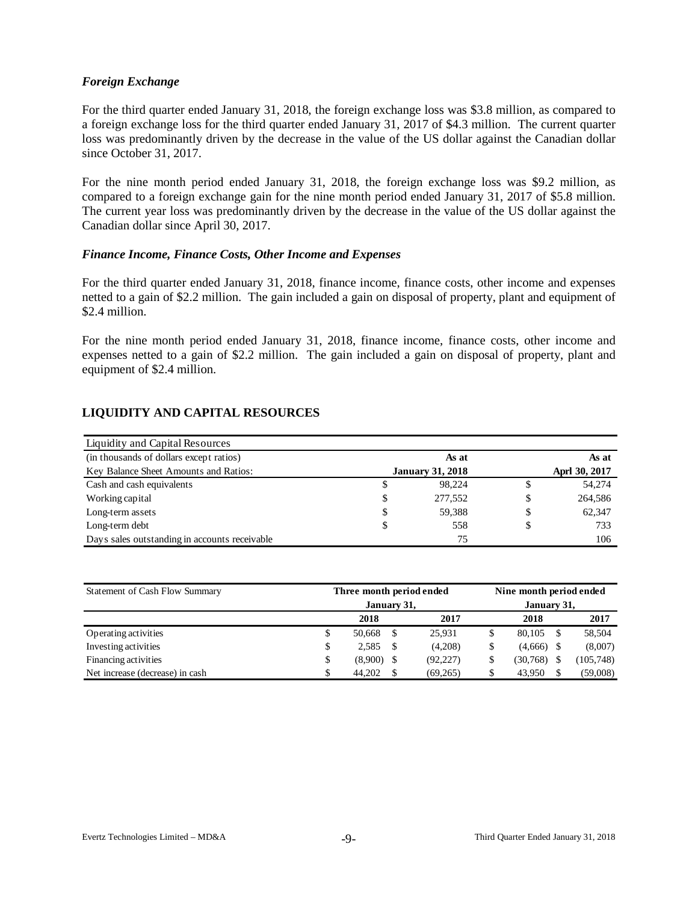## *Foreign Exchange*

For the third quarter ended January 31, 2018, the foreign exchange loss was \$3.8 million, as compared to a foreign exchange loss for the third quarter ended January 31, 2017 of \$4.3 million. The current quarter loss was predominantly driven by the decrease in the value of the US dollar against the Canadian dollar since October 31, 2017.

For the nine month period ended January 31, 2018, the foreign exchange loss was \$9.2 million, as compared to a foreign exchange gain for the nine month period ended January 31, 2017 of \$5.8 million. The current year loss was predominantly driven by the decrease in the value of the US dollar against the Canadian dollar since April 30, 2017.

#### *Finance Income, Finance Costs, Other Income and Expenses*

For the third quarter ended January 31, 2018, finance income, finance costs, other income and expenses netted to a gain of \$2.2 million. The gain included a gain on disposal of property, plant and equipment of \$2.4 million.

For the nine month period ended January 31, 2018, finance income, finance costs, other income and expenses netted to a gain of \$2.2 million. The gain included a gain on disposal of property, plant and equipment of \$2.4 million.

# **LIQUIDITY AND CAPITAL RESOURCES**

| Liquidity and Capital Resources               |                         |    |               |
|-----------------------------------------------|-------------------------|----|---------------|
| (in thousands of dollars except ratios)       | As at                   |    | As at         |
| Key Balance Sheet Amounts and Ratios:         | <b>January 31, 2018</b> |    | Aprl 30, 2017 |
| Cash and cash equivalents                     | \$<br>98.224            | S  | 54,274        |
| Working capital                               | \$<br>277,552           | \$ | 264,586       |
| Long-term assets                              | \$<br>59.388            | \$ | 62.347        |
| Long-term debt                                | \$<br>558               | S  | 733           |
| Days sales outstanding in accounts receivable | 75                      |    | 106           |

| Statement of Cash Flow Summary  | Three month period ended | Nine month period ended |           |              |     |            |  |  |
|---------------------------------|--------------------------|-------------------------|-----------|--------------|-----|------------|--|--|
|                                 | January 31,              | January 31,             |           |              |     |            |  |  |
|                                 | 2018                     |                         | 2017      | 2018         |     | 2017       |  |  |
| Operating activities            | \$<br>50,668             |                         | 25.931    | 80.105       | \$. | 58,504     |  |  |
| Investing activities            | \$<br>2.585              | \$.                     | (4,208)   | $(4,666)$ \$ |     | (8,007)    |  |  |
| Financing activities            | \$<br>(8,900)            |                         | (92, 227) | (30, 768)    |     | (105, 748) |  |  |
| Net increase (decrease) in cash | 44.202                   | \$.                     | (69,265)  | 43.950       |     | (59,008)   |  |  |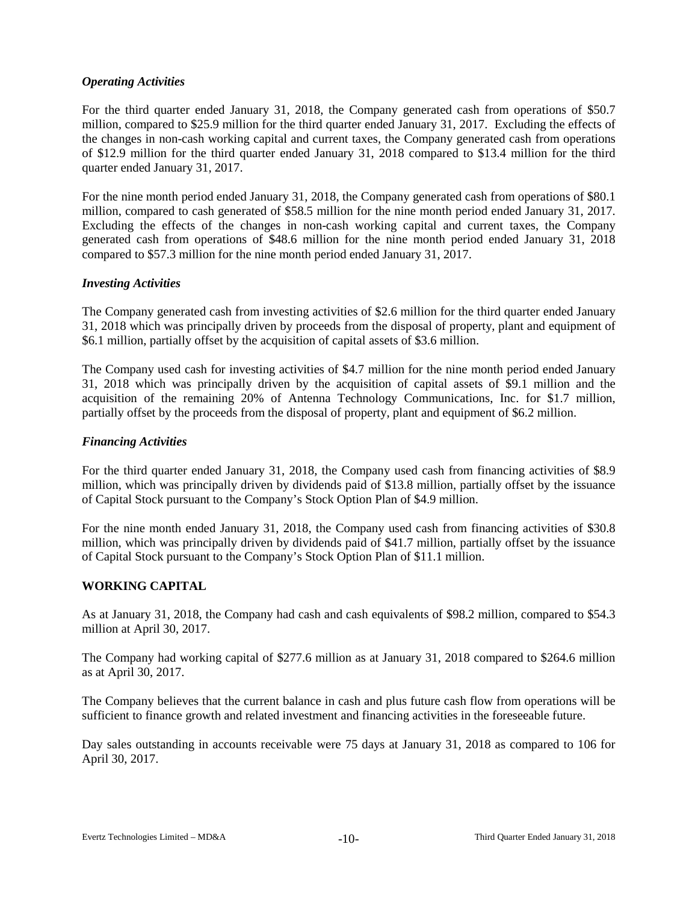## *Operating Activities*

For the third quarter ended January 31, 2018, the Company generated cash from operations of \$50.7 million, compared to \$25.9 million for the third quarter ended January 31, 2017. Excluding the effects of the changes in non-cash working capital and current taxes, the Company generated cash from operations of \$12.9 million for the third quarter ended January 31, 2018 compared to \$13.4 million for the third quarter ended January 31, 2017.

For the nine month period ended January 31, 2018, the Company generated cash from operations of \$80.1 million, compared to cash generated of \$58.5 million for the nine month period ended January 31, 2017. Excluding the effects of the changes in non-cash working capital and current taxes, the Company generated cash from operations of \$48.6 million for the nine month period ended January 31, 2018 compared to \$57.3 million for the nine month period ended January 31, 2017.

## *Investing Activities*

The Company generated cash from investing activities of \$2.6 million for the third quarter ended January 31, 2018 which was principally driven by proceeds from the disposal of property, plant and equipment of \$6.1 million, partially offset by the acquisition of capital assets of \$3.6 million.

The Company used cash for investing activities of \$4.7 million for the nine month period ended January 31, 2018 which was principally driven by the acquisition of capital assets of \$9.1 million and the acquisition of the remaining 20% of Antenna Technology Communications, Inc. for \$1.7 million, partially offset by the proceeds from the disposal of property, plant and equipment of \$6.2 million.

## *Financing Activities*

For the third quarter ended January 31, 2018, the Company used cash from financing activities of \$8.9 million, which was principally driven by dividends paid of \$13.8 million, partially offset by the issuance of Capital Stock pursuant to the Company's Stock Option Plan of \$4.9 million.

For the nine month ended January 31, 2018, the Company used cash from financing activities of \$30.8 million, which was principally driven by dividends paid of \$41.7 million, partially offset by the issuance of Capital Stock pursuant to the Company's Stock Option Plan of \$11.1 million.

## **WORKING CAPITAL**

As at January 31, 2018, the Company had cash and cash equivalents of \$98.2 million, compared to \$54.3 million at April 30, 2017.

The Company had working capital of \$277.6 million as at January 31, 2018 compared to \$264.6 million as at April 30, 2017.

The Company believes that the current balance in cash and plus future cash flow from operations will be sufficient to finance growth and related investment and financing activities in the foreseeable future.

Day sales outstanding in accounts receivable were 75 days at January 31, 2018 as compared to 106 for April 30, 2017.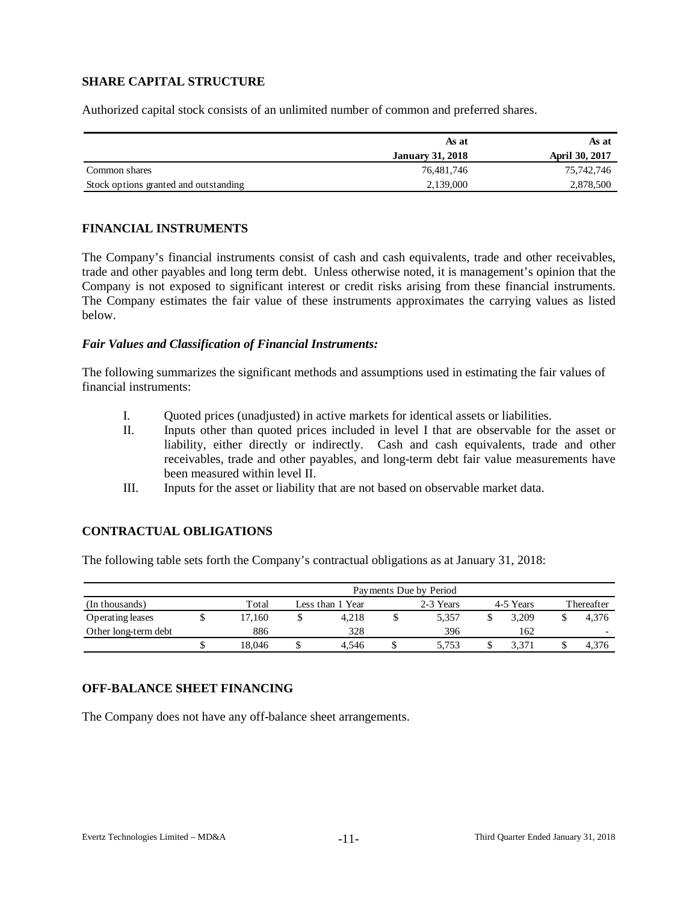# **SHARE CAPITAL STRUCTURE**

Authorized capital stock consists of an unlimited number of common and preferred shares.

|                                       | As at                   | As at                 |
|---------------------------------------|-------------------------|-----------------------|
|                                       | <b>January 31, 2018</b> | <b>April 30, 2017</b> |
| Common shares                         | 76.481.746              | 75,742,746            |
| Stock options granted and outstanding | 2.139,000               | 2,878,500             |

## **FINANCIAL INSTRUMENTS**

The Company's financial instruments consist of cash and cash equivalents, trade and other receivables, trade and other payables and long term debt. Unless otherwise noted, it is management's opinion that the Company is not exposed to significant interest or credit risks arising from these financial instruments. The Company estimates the fair value of these instruments approximates the carrying values as listed below.

#### *Fair Values and Classification of Financial Instruments:*

The following summarizes the significant methods and assumptions used in estimating the fair values of financial instruments:

- I. Quoted prices (unadjusted) in active markets for identical assets or liabilities.
- II. Inputs other than quoted prices included in level I that are observable for the asset or liability, either directly or indirectly. Cash and cash equivalents, trade and other receivables, trade and other payables, and long-term debt fair value measurements have been measured within level II.
- III. Inputs for the asset or liability that are not based on observable market data.

## **CONTRACTUAL OBLIGATIONS**

The following table sets forth the Company's contractual obligations as at January 31, 2018:

|                      | Payments Due by Period |   |                  |  |           |  |           |            |                          |  |  |  |  |  |
|----------------------|------------------------|---|------------------|--|-----------|--|-----------|------------|--------------------------|--|--|--|--|--|
| (In thousands)       | Total                  |   | Less than 1 Year |  | 2-3 Years |  | 4-5 Years | Thereafter |                          |  |  |  |  |  |
| Operating leases     | 7.160                  |   | 4.218            |  | 5.357     |  | 3.209     |            | 4.376                    |  |  |  |  |  |
| Other long-term debt | 886                    |   | 328              |  | 396       |  | 162       |            | $\overline{\phantom{0}}$ |  |  |  |  |  |
|                      | 18.046                 | D | 4.546            |  | 5.753     |  | 5,371     |            | 4.376                    |  |  |  |  |  |

## **OFF-BALANCE SHEET FINANCING**

The Company does not have any off-balance sheet arrangements.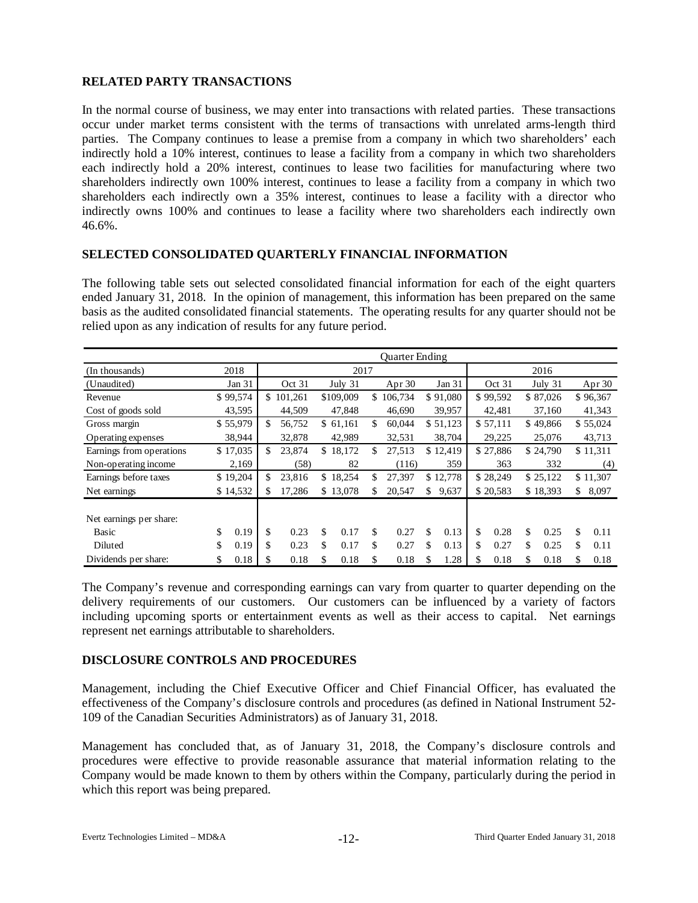# **RELATED PARTY TRANSACTIONS**

In the normal course of business, we may enter into transactions with related parties. These transactions occur under market terms consistent with the terms of transactions with unrelated arms-length third parties. The Company continues to lease a premise from a company in which two shareholders' each indirectly hold a 10% interest, continues to lease a facility from a company in which two shareholders each indirectly hold a 20% interest, continues to lease two facilities for manufacturing where two shareholders indirectly own 100% interest, continues to lease a facility from a company in which two shareholders each indirectly own a 35% interest, continues to lease a facility with a director who indirectly owns 100% and continues to lease a facility where two shareholders each indirectly own 46.6%.

# **SELECTED CONSOLIDATED QUARTERLY FINANCIAL INFORMATION**

The following table sets out selected consolidated financial information for each of the eight quarters ended January 31, 2018. In the opinion of management, this information has been prepared on the same basis as the audited consolidated financial statements. The operating results for any quarter should not be relied upon as any indication of results for any future period.

|                                         |     |          | Quarter Ending |           |    |           |     |           |    |          |    |          |    |          |    |          |
|-----------------------------------------|-----|----------|----------------|-----------|----|-----------|-----|-----------|----|----------|----|----------|----|----------|----|----------|
| (In thousands)                          |     | 2018     |                |           |    | 2017      |     |           |    |          |    |          |    | 2016     |    |          |
| (Unaudited)                             |     | Jan 31   |                | Oct 31    |    | July 31   |     | Apr $30$  |    | Jan 31   |    | Oct 31   |    | July 31  |    | Apr $30$ |
| Revenue                                 |     | \$99,574 |                | \$101,261 |    | \$109,009 |     | \$106,734 |    | \$91,080 |    | \$99,592 |    | \$87,026 |    | \$96,367 |
| Cost of goods sold                      |     | 43,595   |                | 44,509    |    | 47,848    |     | 46,690    |    | 39,957   |    | 42,481   |    | 37,160   |    | 41,343   |
| Gross margin                            |     | \$55,979 | \$             | 56,752    |    | \$61,161  | \$. | 60,044    |    | \$51,123 |    | \$57,111 |    | \$49,866 |    | \$55,024 |
| Operating expenses                      |     | 38,944   |                | 32,878    |    | 42,989    |     | 32,531    |    | 38,704   |    | 29,225   |    | 25,076   |    | 43,713   |
| Earnings from operations                |     | \$17,035 | \$             | 23,874    |    | \$18,172  | \$  | 27,513    |    | \$12,419 |    | \$27,886 |    | \$24,790 |    | \$11,311 |
| Non-operating income                    |     | 2,169    |                | (58)      |    | 82        |     | (116)     |    | 359      |    | 363      |    | 332      |    | (4)      |
| Earnings before taxes                   |     | \$19,204 | \$.            | 23,816    |    | \$18,254  | \$  | 27,397    |    | \$12,778 |    | \$28,249 |    | \$25,122 |    | \$11,307 |
| Net earnings                            |     | \$14,532 | \$             | 17,286    |    | \$13,078  | S.  | 20,547    | \$ | 9,637    |    | \$20,583 |    | \$18,393 | S. | 8,097    |
| Net earnings per share:<br><b>Basic</b> | \$. | 0.19     | \$             | 0.23      | \$ | 0.17      | \$  | 0.27      | \$ | 0.13     | \$ | 0.28     | \$ | 0.25     | \$ | 0.11     |
| Diluted                                 | \$  | 0.19     | \$             | 0.23      | \$ | 0.17      | \$  | 0.27      | \$ | 0.13     | \$ | 0.27     | \$ | 0.25     | \$ | 0.11     |
| Dividends per share:                    | \$  | 0.18     | \$             | 0.18      | \$ | 0.18      | \$  | 0.18      | \$ | 1.28     | \$ | 0.18     | \$ | 0.18     | \$ | 0.18     |

The Company's revenue and corresponding earnings can vary from quarter to quarter depending on the delivery requirements of our customers. Our customers can be influenced by a variety of factors including upcoming sports or entertainment events as well as their access to capital. Net earnings represent net earnings attributable to shareholders.

## **DISCLOSURE CONTROLS AND PROCEDURES**

Management, including the Chief Executive Officer and Chief Financial Officer, has evaluated the effectiveness of the Company's disclosure controls and procedures (as defined in National Instrument 52- 109 of the Canadian Securities Administrators) as of January 31, 2018.

Management has concluded that, as of January 31, 2018, the Company's disclosure controls and procedures were effective to provide reasonable assurance that material information relating to the Company would be made known to them by others within the Company, particularly during the period in which this report was being prepared.